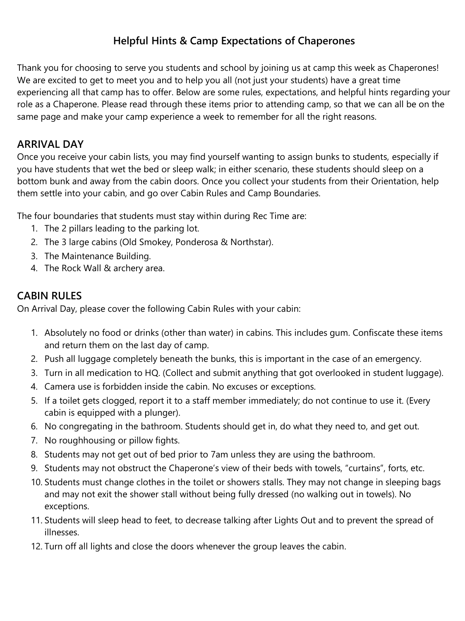# **Helpful Hints & Camp Expectations of Chaperones**

Thank you for choosing to serve you students and school by joining us at camp this week as Chaperones! We are excited to get to meet you and to help you all (not just your students) have a great time experiencing all that camp has to offer. Below are some rules, expectations, and helpful hints regarding your role as a Chaperone. Please read through these items prior to attending camp, so that we can all be on the same page and make your camp experience a week to remember for all the right reasons.

## **ARRIVAL DAY**

Once you receive your cabin lists, you may find yourself wanting to assign bunks to students, especially if you have students that wet the bed or sleep walk; in either scenario, these students should sleep on a bottom bunk and away from the cabin doors. Once you collect your students from their Orientation, help them settle into your cabin, and go over Cabin Rules and Camp Boundaries.

The four boundaries that students must stay within during Rec Time are:

- 1. The 2 pillars leading to the parking lot.
- 2. The 3 large cabins (Old Smokey, Ponderosa & Northstar).
- 3. The Maintenance Building.
- 4. The Rock Wall & archery area.

## **CABIN RULES**

On Arrival Day, please cover the following Cabin Rules with your cabin:

- 1. Absolutely no food or drinks (other than water) in cabins. This includes gum. Confiscate these items and return them on the last day of camp.
- 2. Push all luggage completely beneath the bunks, this is important in the case of an emergency.
- 3. Turn in all medication to HQ. (Collect and submit anything that got overlooked in student luggage).
- 4. Camera use is forbidden inside the cabin. No excuses or exceptions.
- 5. If a toilet gets clogged, report it to a staff member immediately; do not continue to use it. (Every cabin is equipped with a plunger).
- 6. No congregating in the bathroom. Students should get in, do what they need to, and get out.
- 7. No roughhousing or pillow fights.
- 8. Students may not get out of bed prior to 7am unless they are using the bathroom.
- 9. Students may not obstruct the Chaperone's view of their beds with towels, "curtains", forts, etc.
- 10. Students must change clothes in the toilet or showers stalls. They may not change in sleeping bags and may not exit the shower stall without being fully dressed (no walking out in towels). No exceptions.
- 11. Students will sleep head to feet, to decrease talking after Lights Out and to prevent the spread of illnesses.
- 12. Turn off all lights and close the doors whenever the group leaves the cabin.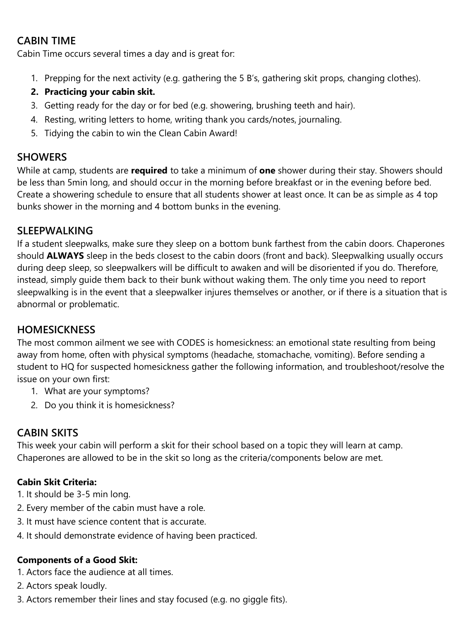## **CABIN TIME**

Cabin Time occurs several times a day and is great for:

- 1. Prepping for the next activity (e.g. gathering the 5 B's, gathering skit props, changing clothes).
- **2. Practicing your cabin skit.**
- 3. Getting ready for the day or for bed (e.g. showering, brushing teeth and hair).
- 4. Resting, writing letters to home, writing thank you cards/notes, journaling.
- 5. Tidying the cabin to win the Clean Cabin Award!

## **SHOWERS**

While at camp, students are **required** to take a minimum of **one** shower during their stay. Showers should be less than 5min long, and should occur in the morning before breakfast or in the evening before bed. Create a showering schedule to ensure that all students shower at least once. It can be as simple as 4 top bunks shower in the morning and 4 bottom bunks in the evening.

## **SLEEPWALKING**

If a student sleepwalks, make sure they sleep on a bottom bunk farthest from the cabin doors. Chaperones should **ALWAYS** sleep in the beds closest to the cabin doors (front and back). Sleepwalking usually occurs during deep sleep, so sleepwalkers will be difficult to awaken and will be disoriented if you do. Therefore, instead, simply guide them back to their bunk without waking them. The only time you need to report sleepwalking is in the event that a sleepwalker injures themselves or another, or if there is a situation that is abnormal or problematic.

## **HOMESICKNESS**

The most common ailment we see with CODES is homesickness: an emotional state resulting from being away from home, often with physical symptoms (headache, stomachache, vomiting). Before sending a student to HQ for suspected homesickness gather the following information, and troubleshoot/resolve the issue on your own first:

- 1. What are your symptoms?
- 2. Do you think it is homesickness?

## **CABIN SKITS**

This week your cabin will perform a skit for their school based on a topic they will learn at camp. Chaperones are allowed to be in the skit so long as the criteria/components below are met.

#### **Cabin Skit Criteria:**

- 1. It should be 3-5 min long.
- 2. Every member of the cabin must have a role.
- 3. It must have science content that is accurate.
- 4. It should demonstrate evidence of having been practiced.

#### **Components of a Good Skit:**

- 1. Actors face the audience at all times.
- 2. Actors speak loudly.
- 3. Actors remember their lines and stay focused (e.g. no giggle fits).